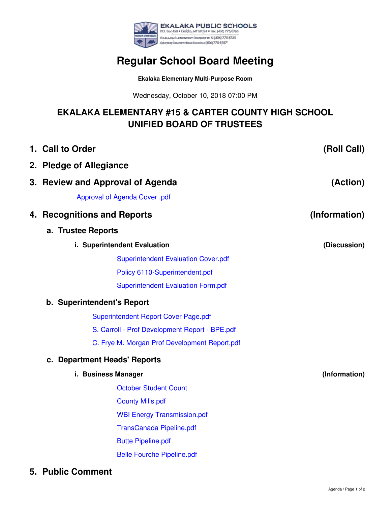

# **Regular School Board Meeting**

**Ekalaka Elementary Multi-Purpose Room**

Wednesday, October 10, 2018 07:00 PM

## **EKALAKA ELEMENTARY #15 & CARTER COUNTY HIGH SCHOOL UNIFIED BOARD OF TRUSTEES**

|  | 1. Call to Order                               | (Roll Call)   |
|--|------------------------------------------------|---------------|
|  | 2. Pledge of Allegiance                        |               |
|  | 3. Review and Approval of Agenda               | (Action)      |
|  | Approval of Agenda Cover .pdf                  |               |
|  | 4. Recognitions and Reports                    | (Information) |
|  | a. Trustee Reports                             |               |
|  | i. Superintendent Evaluation                   | (Discussion)  |
|  | <b>Superintendent Evaluation Cover.pdf</b>     |               |
|  | Policy 6110-Superintendent.pdf                 |               |
|  | <b>Superintendent Evaluation Form.pdf</b>      |               |
|  | b. Superintendent's Report                     |               |
|  | <b>Superintendent Report Cover Page.pdf</b>    |               |
|  | S. Carroll - Prof Development Report - BPE.pdf |               |
|  | C. Frye M. Morgan Prof Development Report.pdf  |               |
|  | c. Department Heads' Reports                   |               |
|  | i. Business Manager                            | (Information) |
|  | <b>October Student Count</b>                   |               |
|  | <b>County Mills.pdf</b>                        |               |
|  | <b>WBI Energy Transmission.pdf</b>             |               |
|  | <b>TransCanada Pipeline.pdf</b>                |               |
|  | <b>Butte Pipeline.pdf</b>                      |               |
|  | <b>Belle Fourche Pipeline.pdf</b>              |               |
|  |                                                |               |

**5. Public Comment**

Agenda / Page 1 of 2